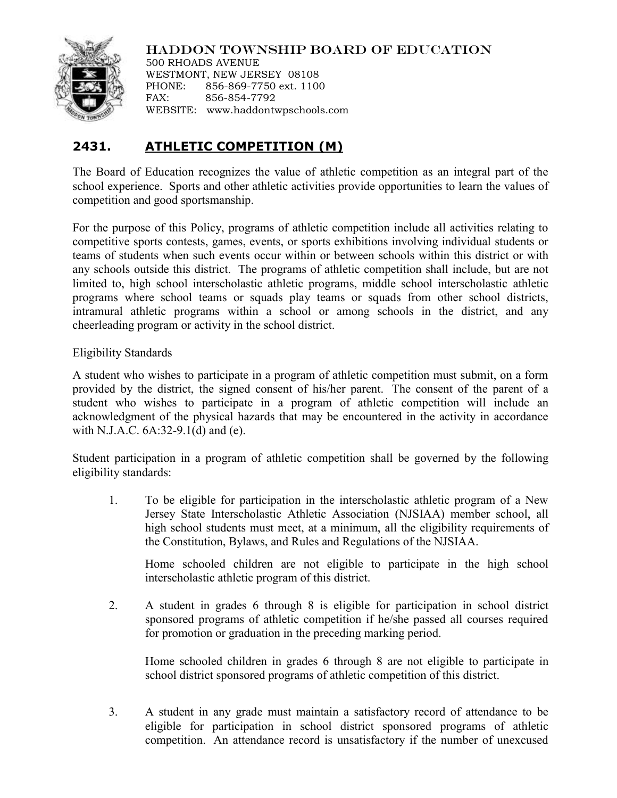

## HADDON TOWNSHIP BOARD OF EDUCATION

500 RHOADS AVENUE WESTMONT, NEW JERSEY 08108 PHONE: 856-869-7750 ext. 1100 FAX: 856-854-7792 WEBSITE: www.haddontwpschools.com

## **2431. ATHLETIC COMPETITION (M)**

The Board of Education recognizes the value of athletic competition as an integral part of the school experience. Sports and other athletic activities provide opportunities to learn the values of competition and good sportsmanship.

For the purpose of this Policy, programs of athletic competition include all activities relating to competitive sports contests, games, events, or sports exhibitions involving individual students or teams of students when such events occur within or between schools within this district or with any schools outside this district. The programs of athletic competition shall include, but are not limited to, high school interscholastic athletic programs, middle school interscholastic athletic programs where school teams or squads play teams or squads from other school districts, intramural athletic programs within a school or among schools in the district, and any cheerleading program or activity in the school district.

Eligibility Standards

A student who wishes to participate in a program of athletic competition must submit, on a form provided by the district, the signed consent of his/her parent. The consent of the parent of a student who wishes to participate in a program of athletic competition will include an acknowledgment of the physical hazards that may be encountered in the activity in accordance with N.J.A.C. 6A:32-9.1(d) and (e).

Student participation in a program of athletic competition shall be governed by the following eligibility standards:

1. To be eligible for participation in the interscholastic athletic program of a New Jersey State Interscholastic Athletic Association (NJSIAA) member school, all high school students must meet, at a minimum, all the eligibility requirements of the Constitution, Bylaws, and Rules and Regulations of the NJSIAA.

Home schooled children are not eligible to participate in the high school interscholastic athletic program of this district.

2. A student in grades 6 through 8 is eligible for participation in school district sponsored programs of athletic competition if he/she passed all courses required for promotion or graduation in the preceding marking period.

Home schooled children in grades 6 through 8 are not eligible to participate in school district sponsored programs of athletic competition of this district.

3. A student in any grade must maintain a satisfactory record of attendance to be eligible for participation in school district sponsored programs of athletic competition. An attendance record is unsatisfactory if the number of unexcused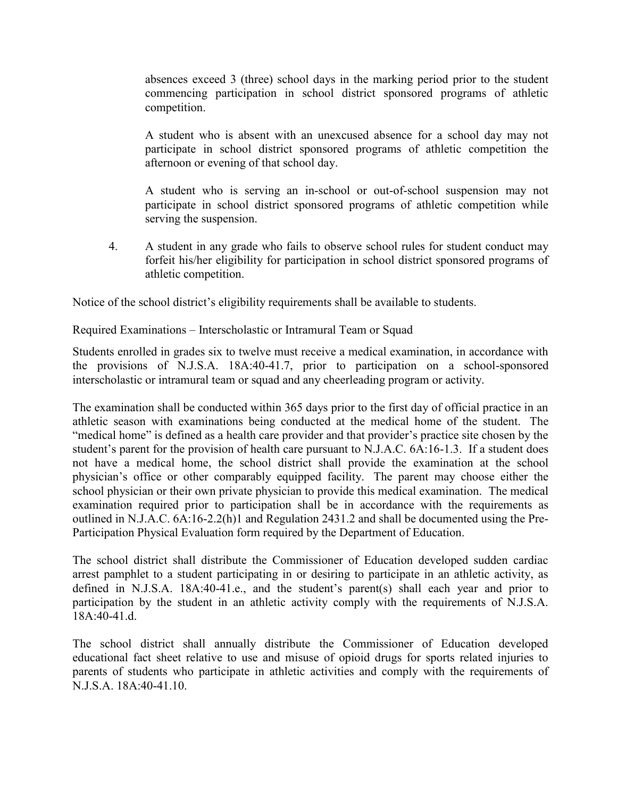absences exceed 3 (three) school days in the marking period prior to the student commencing participation in school district sponsored programs of athletic competition.

A student who is absent with an unexcused absence for a school day may not participate in school district sponsored programs of athletic competition the afternoon or evening of that school day.

A student who is serving an in-school or out-of-school suspension may not participate in school district sponsored programs of athletic competition while serving the suspension.

4. A student in any grade who fails to observe school rules for student conduct may forfeit his/her eligibility for participation in school district sponsored programs of athletic competition.

Notice of the school district's eligibility requirements shall be available to students.

Required Examinations – Interscholastic or Intramural Team or Squad

Students enrolled in grades six to twelve must receive a medical examination, in accordance with the provisions of N.J.S.A. 18A:40-41.7, prior to participation on a school-sponsored interscholastic or intramural team or squad and any cheerleading program or activity.

The examination shall be conducted within 365 days prior to the first day of official practice in an athletic season with examinations being conducted at the medical home of the student. The "medical home" is defined as a health care provider and that provider's practice site chosen by the student's parent for the provision of health care pursuant to N.J.A.C. 6A:16-1.3. If a student does not have a medical home, the school district shall provide the examination at the school physician's office or other comparably equipped facility. The parent may choose either the school physician or their own private physician to provide this medical examination. The medical examination required prior to participation shall be in accordance with the requirements as outlined in N.J.A.C. 6A:16-2.2(h)1 and Regulation 2431.2 and shall be documented using the Pre-Participation Physical Evaluation form required by the Department of Education.

The school district shall distribute the Commissioner of Education developed sudden cardiac arrest pamphlet to a student participating in or desiring to participate in an athletic activity, as defined in N.J.S.A. 18A:40-41.e., and the student's parent(s) shall each year and prior to participation by the student in an athletic activity comply with the requirements of N.J.S.A. 18A:40-41.d.

The school district shall annually distribute the Commissioner of Education developed educational fact sheet relative to use and misuse of opioid drugs for sports related injuries to parents of students who participate in athletic activities and comply with the requirements of N.J.S.A. 18A:40-41.10.